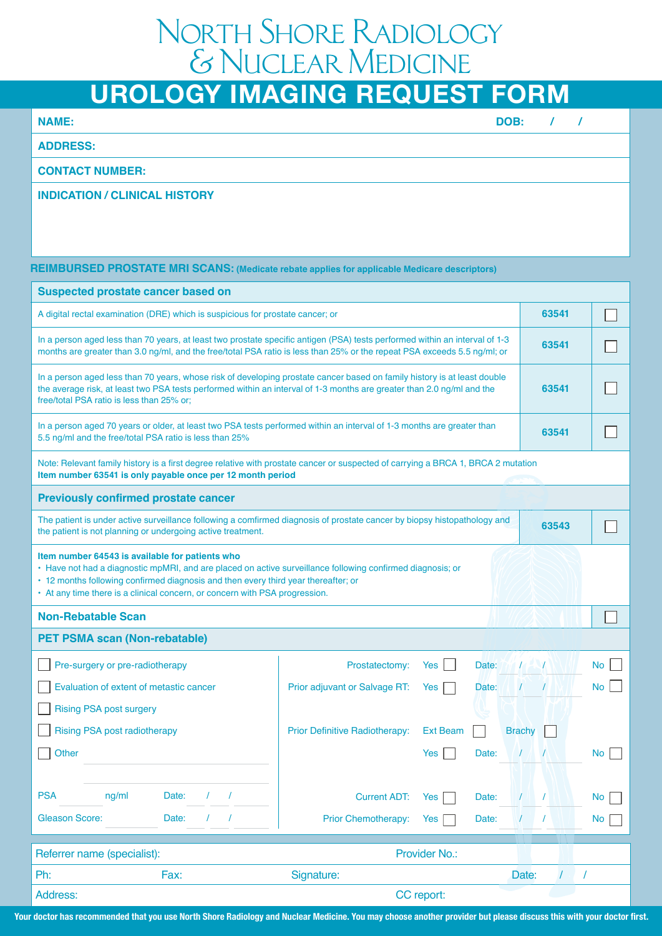# North Shore Radiology & Nuclear Medicine

# **UROLOGY IMAGING REQUEST FORM**

**NAME:**

**DOB: / /**

 **ADDRESS:**

**CONTACT NUMBER:**

### **INDICATION / CLINICAL HISTORY**

#### **REIMBURSED PROSTATE MRI SCANS: (Medicate rebate applies for applicable Medicare descriptors)**

| <b>Suspected prostate cancer based on</b>                                                                                                                                                                                                                                                                                          |                                                   |                                 |           |  |  |  |  |  |
|------------------------------------------------------------------------------------------------------------------------------------------------------------------------------------------------------------------------------------------------------------------------------------------------------------------------------------|---------------------------------------------------|---------------------------------|-----------|--|--|--|--|--|
| A digital rectal examination (DRE) which is suspicious for prostate cancer; or                                                                                                                                                                                                                                                     | 63541                                             |                                 |           |  |  |  |  |  |
| In a person aged less than 70 years, at least two prostate specific antigen (PSA) tests performed within an interval of 1-3<br>months are greater than 3.0 ng/ml, and the free/total PSA ratio is less than 25% or the repeat PSA exceeds 5.5 ng/ml; or                                                                            | 63541                                             |                                 |           |  |  |  |  |  |
| In a person aged less than 70 years, whose risk of developing prostate cancer based on family history is at least double<br>the average risk, at least two PSA tests performed within an interval of 1-3 months are greater than 2.0 ng/ml and the<br>free/total PSA ratio is less than 25% or;                                    | 63541                                             |                                 |           |  |  |  |  |  |
| In a person aged 70 years or older, at least two PSA tests performed within an interval of 1-3 months are greater than<br>5.5 ng/ml and the free/total PSA ratio is less than 25%                                                                                                                                                  | 63541                                             |                                 |           |  |  |  |  |  |
| Note: Relevant family history is a first degree relative with prostate cancer or suspected of carrying a BRCA 1, BRCA 2 mutation<br>Item number 63541 is only payable once per 12 month period                                                                                                                                     |                                                   |                                 |           |  |  |  |  |  |
| <b>Previously confirmed prostate cancer</b>                                                                                                                                                                                                                                                                                        |                                                   |                                 |           |  |  |  |  |  |
| The patient is under active surveillance following a comfirmed diagnosis of prostate cancer by biopsy histopathology and<br>63543<br>the patient is not planning or undergoing active treatment.                                                                                                                                   |                                                   |                                 |           |  |  |  |  |  |
| Item number 64543 is available for patients who<br>• Have not had a diagnostic mpMRI, and are placed on active surveillance following confirmed diagnosis; or<br>• 12 months following confirmed diagnosis and then every third year thereafter; or<br>• At any time there is a clinical concern, or concern with PSA progression. |                                                   |                                 |           |  |  |  |  |  |
| <b>Non-Rebatable Scan</b>                                                                                                                                                                                                                                                                                                          |                                                   |                                 |           |  |  |  |  |  |
| <b>PET PSMA scan (Non-rebatable)</b>                                                                                                                                                                                                                                                                                               |                                                   |                                 |           |  |  |  |  |  |
| Pre-surgery or pre-radiotherapy                                                                                                                                                                                                                                                                                                    | Prostatectomy:<br><b>Yes</b><br>Date:             |                                 | <b>No</b> |  |  |  |  |  |
| Evaluation of extent of metastic cancer                                                                                                                                                                                                                                                                                            | Prior adjuvant or Salvage RT:<br>Date:<br>Yes     |                                 | <b>No</b> |  |  |  |  |  |
| <b>Rising PSA post surgery</b>                                                                                                                                                                                                                                                                                                     |                                                   |                                 |           |  |  |  |  |  |
| <b>Rising PSA post radiotherapy</b>                                                                                                                                                                                                                                                                                                | Prior Definitive Radiotherapy:<br><b>Ext Beam</b> | <b>Brachy</b>                   |           |  |  |  |  |  |
| Other                                                                                                                                                                                                                                                                                                                              | Yes<br>Date:                                      |                                 | No.       |  |  |  |  |  |
|                                                                                                                                                                                                                                                                                                                                    |                                                   |                                 |           |  |  |  |  |  |
| <b>PSA</b><br>ng/ml<br>Date:<br>$\prime$<br>$\prime$                                                                                                                                                                                                                                                                               | <b>Current ADT:</b><br>Yes<br>Date:               | $\prime$                        | <b>No</b> |  |  |  |  |  |
| <b>Gleason Score:</b><br>Date:<br>$\prime$                                                                                                                                                                                                                                                                                         | Prior Chemotherapy:<br>Yes<br>Date:               | $\prime$                        | <b>No</b> |  |  |  |  |  |
| Provider No.:<br>Referrer name (specialist):                                                                                                                                                                                                                                                                                       |                                                   |                                 |           |  |  |  |  |  |
| Ph:<br>Fax:                                                                                                                                                                                                                                                                                                                        | Signature:                                        | $\sqrt{ }$<br>Date:<br>$\prime$ |           |  |  |  |  |  |
| Address:                                                                                                                                                                                                                                                                                                                           | CC report:                                        |                                 |           |  |  |  |  |  |